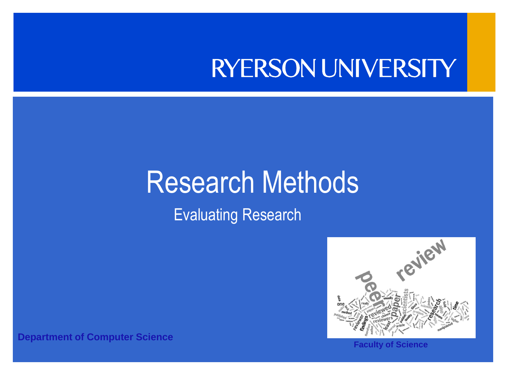### RYERSON UNIVERSITY

### Research Methods

Evaluating Research



**Faculty of Science**

**Department of Computer Science**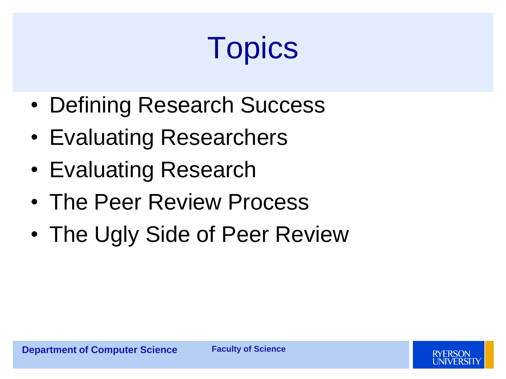# **Topics**

- Defining Research Success
- Evaluating Researchers
- Evaluating Research
- The Peer Review Process
- The Ugly Side of Peer Review

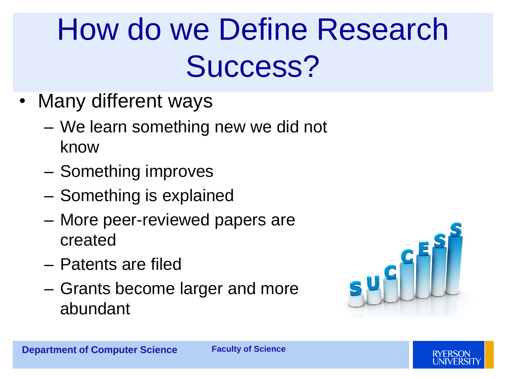## How do we Define Research Success?

- Many different ways
	- We learn something new we did not know
	- Something improves
	- Something is explained
	- More peer-reviewed papers are created
	- Patents are filed
	- Grants become larger and more abundant



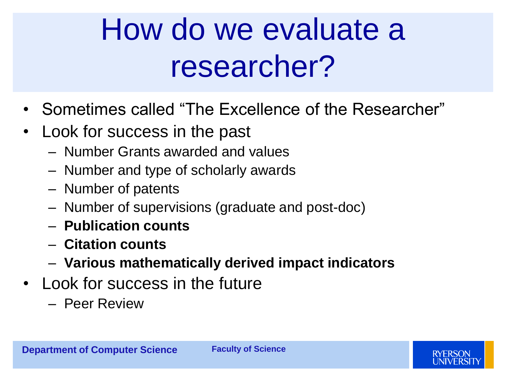## How do we evaluate a researcher?

- Sometimes called "The Excellence of the Researcher"
- Look for success in the past
	- Number Grants awarded and values
	- Number and type of scholarly awards
	- Number of patents
	- Number of supervisions (graduate and post-doc)
	- **Publication counts**
	- **Citation counts**
	- **Various mathematically derived impact indicators**
- Look for success in the future
	- Peer Review

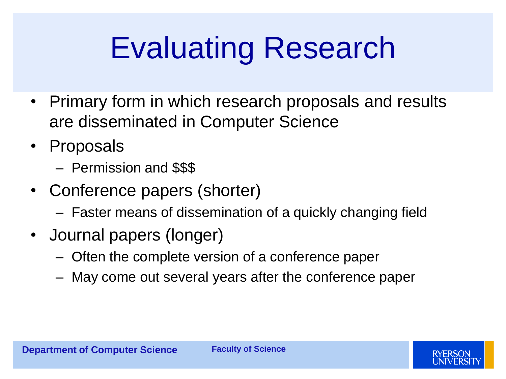## Evaluating Research

- Primary form in which research proposals and results are disseminated in Computer Science
- Proposals
	- Permission and \$\$\$
- Conference papers (shorter)
	- Faster means of dissemination of a quickly changing field
- Journal papers (longer)
	- Often the complete version of a conference paper
	- May come out several years after the conference paper

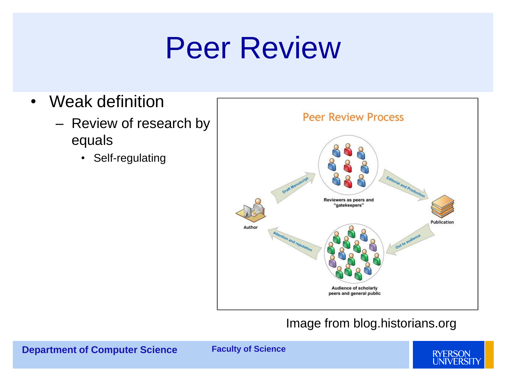## Peer Review

- Weak definition
	- Review of research by equals
		- Self-regulating



#### Image from blog.historians.org

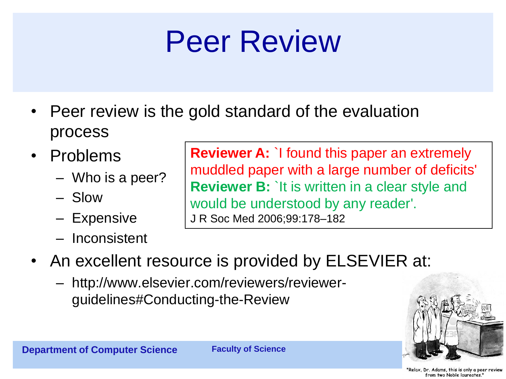## Peer Review

- Peer review is the gold standard of the evaluation process
- Problems
	- Who is a peer?
	- Slow
	- Expensive
	- Inconsistent

**Reviewer A:** `I found this paper an extremely muddled paper with a large number of deficits' **Reviewer B: `It is written in a clear style and** would be understood by any reader'. J R Soc Med 2006;99:178–182

- An excellent resource is provided by ELSEVIER at:
	- http://www.elsevier.com/reviewers/reviewerguidelines#Conducting-the-Review



"Relax, Dr. Adams, this is only a peer review from two Noble laureates."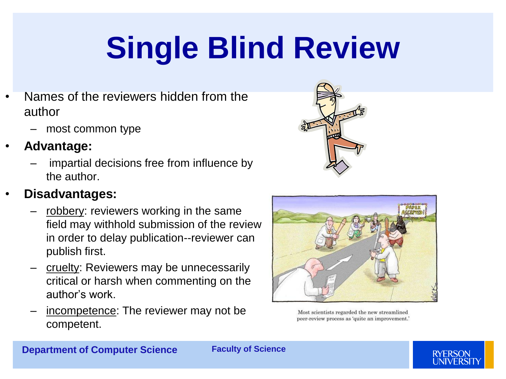# **Single Blind Review**

- Names of the reviewers hidden from the author
	- most common type
- **Advantage:**
	- impartial decisions free from influence by the author.

#### • **Disadvantages:**

- robbery: reviewers working in the same field may withhold submission of the review in order to delay publication--reviewer can publish first.
- cruelty: Reviewers may be unnecessarily critical or harsh when commenting on the author's work.
- incompetence: The reviewer may not be competent.



Most scientists regarded the new streamlined peer-review process as 'quite an improvement.'



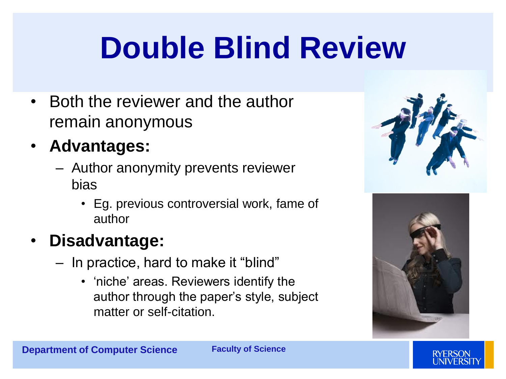## **Double Blind Review**

- Both the reviewer and the author remain anonymous
- **Advantages:**
	- Author anonymity prevents reviewer bias
		- Eg. previous controversial work, fame of author
- **Disadvantage:**
	- In practice, hard to make it "blind"
		- 'niche' areas. Reviewers identify the author through the paper's style, subject matter or self-citation.





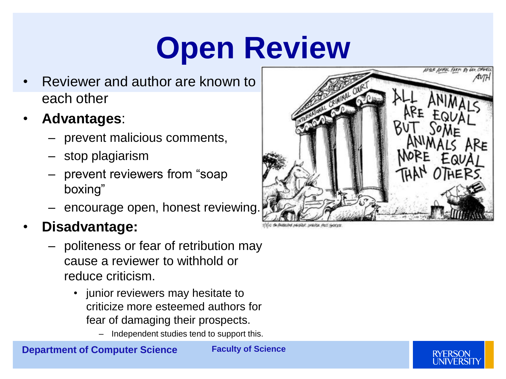## **Open Review**

- Reviewer and author are known to each other
- **Advantages**:
	- prevent malicious comments,
	- stop plagiarism
	- prevent reviewers from "soap boxing"
	- encourage open, honest reviewing.

### • **Disadvantage:**

- politeness or fear of retribution may cause a reviewer to withhold or reduce criticism.
	- junior reviewers may hesitate to criticize more esteemed authors for fear of damaging their prospects.
		- Independent studies tend to support this.





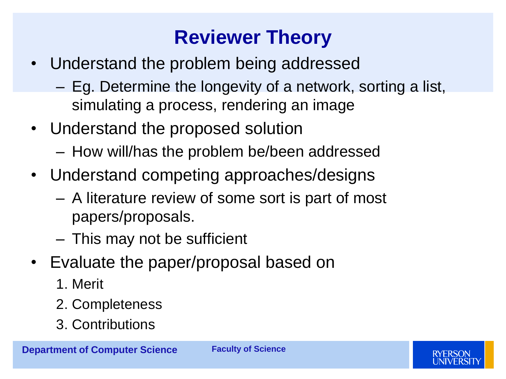### **Reviewer Theory**

- Understand the problem being addressed
	- Eg. Determine the longevity of a network, sorting a list, simulating a process, rendering an image
- Understand the proposed solution
	- How will/has the problem be/been addressed
- Understand competing approaches/designs
	- A literature review of some sort is part of most papers/proposals.
	- This may not be sufficient
- Evaluate the paper/proposal based on
	- 1. Merit
	- 2. Completeness
	- 3. Contributions

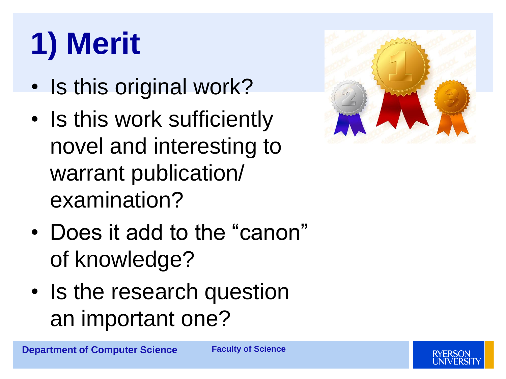# **1) Merit**

- Is this original work?
- Is this work sufficiently novel and interesting to warrant publication/ examination?
- Does it add to the "canon" of knowledge?
- Is the research question an important one?



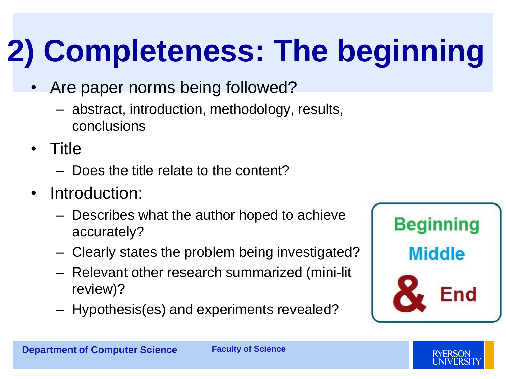# **2) Completeness: The beginning**

- Are paper norms being followed?
	- abstract, introduction, methodology, results, conclusions
- Title
	- Does the title relate to the content?
- Introduction:
	- Describes what the author hoped to achieve accurately?
	- Clearly states the problem being investigated?
	- Relevant other research summarized (mini-lit review)?
	- Hypothesis(es) and experiments revealed?



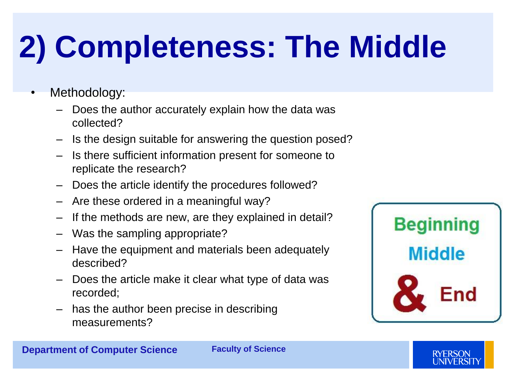## **2) Completeness: The Middle**

- Methodology:
	- Does the author accurately explain how the data was collected?
	- Is the design suitable for answering the question posed?
	- Is there sufficient information present for someone to replicate the research?
	- Does the article identify the procedures followed?
	- Are these ordered in a meaningful way?
	- If the methods are new, are they explained in detail?
	- Was the sampling appropriate?
	- Have the equipment and materials been adequately described?
	- Does the article make it clear what type of data was recorded;
	- has the author been precise in describing measurements?

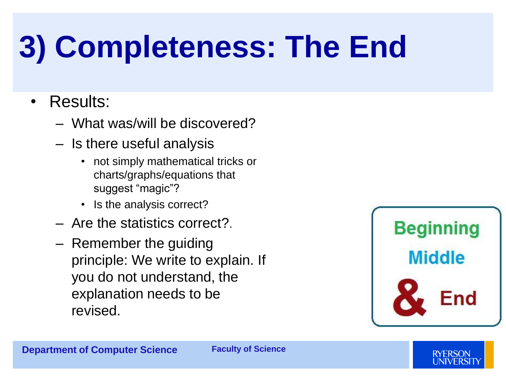## **3) Completeness: The End**

### • Results:

- What was/will be discovered?
- Is there useful analysis
	- not simply mathematical tricks or charts/graphs/equations that suggest "magic"?
	- Is the analysis correct?
- Are the statistics correct?.
- Remember the guiding principle: We write to explain. If you do not understand, the explanation needs to be revised.





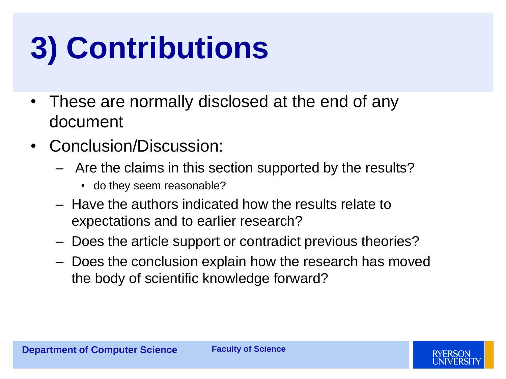# **3) Contributions**

- These are normally disclosed at the end of any document
- Conclusion/Discussion:
	- Are the claims in this section supported by the results?
		- do they seem reasonable?
	- Have the authors indicated how the results relate to expectations and to earlier research?
	- Does the article support or contradict previous theories?
	- Does the conclusion explain how the research has moved the body of scientific knowledge forward?

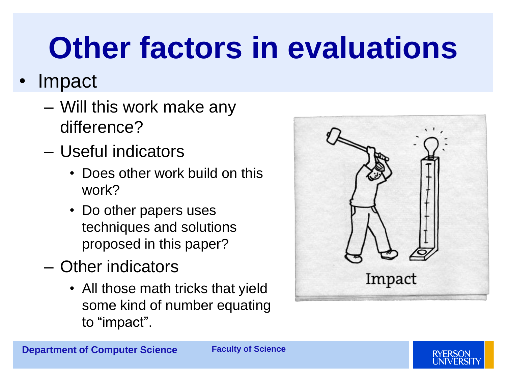## **Other factors in evaluations**

### • Impact

- Will this work make any difference?
- Useful indicators
	- Does other work build on this work?
	- Do other papers uses techniques and solutions proposed in this paper?
- Other indicators
	- All those math tricks that yield some kind of number equating to "impact".



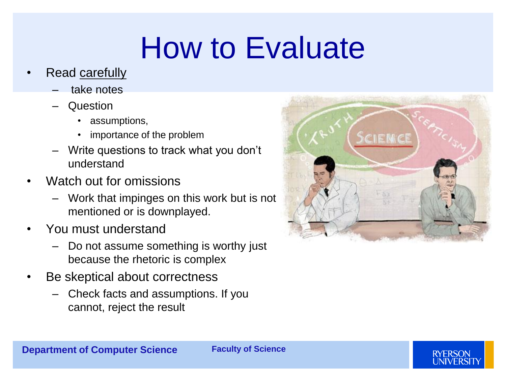## How to Evaluate

- Read carefully
	- take notes
	- Question
		- assumptions,
		- importance of the problem
	- Write questions to track what you don't understand
- Watch out for omissions
	- Work that impinges on this work but is not mentioned or is downplayed.
- You must understand
	- Do not assume something is worthy just because the rhetoric is complex
- Be skeptical about correctness
	- Check facts and assumptions. If you cannot, reject the result



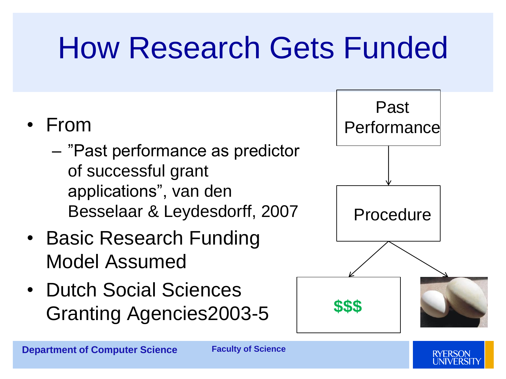## How Research Gets Funded

### • From

- "Past performance as predictor of successful grant applications", van den Besselaar & Leydesdorff, 2007
- Basic Research Funding Model Assumed
- Dutch Social Sciences Granting Agencies2003-5

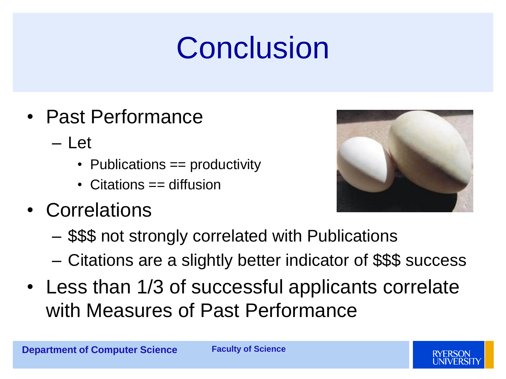## Conclusion

- Past Performance
	- $-$  Let
		- Publications == productivity
		- Citations == diffusion
- Correlations



- \$\$\$ not strongly correlated with Publications
- Citations are a slightly better indicator of \$\$\$ success
- Less than 1/3 of successful applicants correlate with Measures of Past Performance